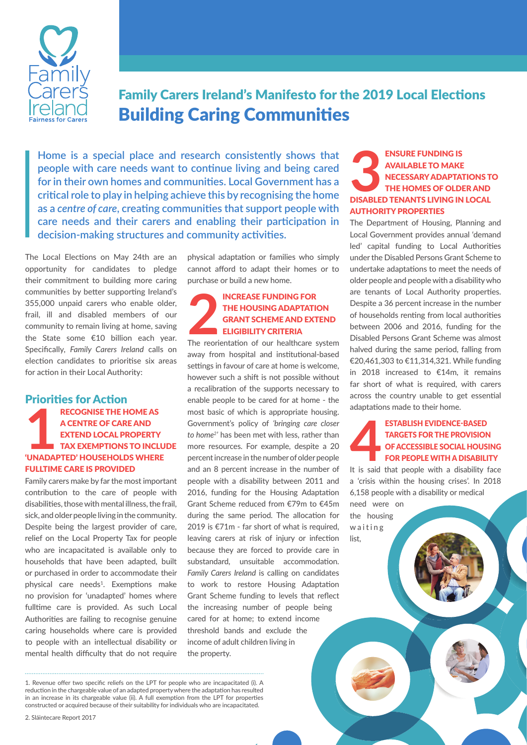

Family Carers Ireland's Manifesto for the 2019 Local Elections Building Caring Communities

**Home is a special place and research consistently shows that people with care needs want to continue living and being cared for in their own homes and communities. Local Government has a critical role to play in helping achieve this by recognising the home as a** *centre of care***, creating communities that support people with care needs and their carers and enabling their participation in decision-making structures and community activities.**

The Local Elections on May 24th are an opportunity for candidates to pledge their commitment to building more caring communities by better supporting Ireland's 355,000 unpaid carers who enable older, frail, ill and disabled members of our community to remain living at home, saving the State some €10 billion each year. Specifically, *Family Carers Ireland* calls on election candidates to prioritise six areas for action in their Local Authority:

### Priorities for Action

**1** Recognise the home as a centre of care and extend Local Property Tax exemptions to include 'unadapted' households where fulltime care is provided

Family carers make by far the most important contribution to the care of people with disabilities, those with mental illness, the frail, sick, and older people living in the community. Despite being the largest provider of care, relief on the Local Property Tax for people who are incapacitated is available only to households that have been adapted, built or purchased in order to accommodate their physical care needs<sup>1</sup>. Exemptions make no provision for 'unadapted' homes where fulltime care is provided. As such Local Authorities are failing to recognise genuine caring households where care is provided to people with an intellectual disability or mental health difficulty that do not require

physical adaptation or families who simply cannot afford to adapt their homes or to purchase or build a new home.

## **22INCREASE FUNDING FOR<br>
22INCREASE FUNDING ADAPTATION<br>
22INCREASE AND EXTEND<br>
22INCREASE AND EXTEND<br>
22INCREASE AND EXTEND<br>
23INCREASE AND EXTEND<br>
23INCREASE AND EXTEND<br>
23** the Housing Adaptation Grant Scheme and extend eligibility criteria

away from hospital and institutional-based settings in favour of care at home is welcome, however such a shift is not possible without a recalibration of the supports necessary to enable people to be cared for at home - the most basic of which is appropriate housing. Government's policy of *'bringing care closer to home2 '* has been met with less, rather than more resources. For example, despite a 20 percent increase in the number of older people and an 8 percent increase in the number of people with a disability between 2011 and 2016, funding for the Housing Adaptation Grant Scheme reduced from €79m to €45m during the same period. The allocation for 2019 is €71m - far short of what is required, leaving carers at risk of injury or infection because they are forced to provide care in substandard, unsuitable accommodation. *Family Carers Ireland* is calling on candidates to work to restore Housing Adaptation Grant Scheme funding to levels that reflect the increasing number of people being cared for at home; to extend income threshold bands and exclude the income of adult children living in the property.

1. Revenue offer two specific reliefs on the LPT for people who are incapacitated (i). A reduction in the chargeable value of an adapted property where the adaptation has resulted in an increase in its chargeable value (ii). A full exemption from the LPT for properties constructed or acquired because of their suitability for individuals who are incapacitated.

## ENSURE FUNDING IS<br>
AVAILABLE TO MAKE<br>
NECESSARY ADAPTATION<br>
THE HOMES OF OLDER A<br>
DISABLED TENANTS LIVING IN LOC available to make necessary adaptations to the homes of older and Authority properties

The Department of Housing, Planning and Local Government provides annual 'demand led' capital funding to Local Authorities under the Disabled Persons Grant Scheme to undertake adaptations to meet the needs of older people and people with a disability who are tenants of Local Authority properties. Despite a 36 percent increase in the number of households renting from local authorities between 2006 and 2016, funding for the Disabled Persons Grant Scheme was almost halved during the same period, falling from €20,461,303 to €11,314,321. While funding in 2018 increased to €14m, it remains far short of what is required, with carers across the country unable to get essential adaptations made to their home.

## **44 ESTABLISH EVIDENCE-BASED<br>
TARGETS FOR THE PROVISION<br>
FOR PEOPLE WITH A DISABILITY<br>
It is said that people with a disability face** targets for the provision ofaccessible social housing for people with a disability

a 'crisis within the housing crises'. In 2018 6,158 people with a disability or medical need were on

the housing waiting list,